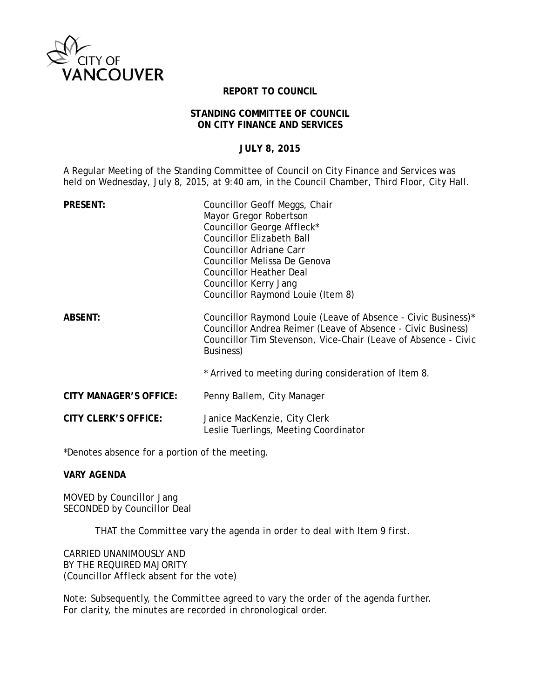

### **REPORT TO COUNCIL**

### **STANDING COMMITTEE OF COUNCIL ON CITY FINANCE AND SERVICES**

## **JULY 8, 2015**

A Regular Meeting of the Standing Committee of Council on City Finance and Services was held on Wednesday, July 8, 2015, at 9:40 am, in the Council Chamber, Third Floor, City Hall.

| <b>PRESENT:</b>               | Councillor Geoff Meggs, Chair<br>Mayor Gregor Robertson<br>Councillor George Affleck*<br><b>Councillor Elizabeth Ball</b>                                                                                    |
|-------------------------------|--------------------------------------------------------------------------------------------------------------------------------------------------------------------------------------------------------------|
|                               | Councillor Adriane Carr                                                                                                                                                                                      |
|                               | Councillor Melissa De Genova<br><b>Councillor Heather Deal</b>                                                                                                                                               |
|                               | Councillor Kerry Jang                                                                                                                                                                                        |
|                               | Councillor Raymond Louie (Item 8)                                                                                                                                                                            |
| <b>ABSENT:</b>                | Councillor Raymond Louie (Leave of Absence - Civic Business)*<br>Councillor Andrea Reimer (Leave of Absence - Civic Business)<br>Councillor Tim Stevenson, Vice-Chair (Leave of Absence - Civic<br>Business) |
|                               | * Arrived to meeting during consideration of Item 8.                                                                                                                                                         |
| <b>CITY MANAGER'S OFFICE:</b> | Penny Ballem, City Manager                                                                                                                                                                                   |
| <b>CITY CLERK'S OFFICE:</b>   | Janice MacKenzie, City Clerk<br>Leslie Tuerlings, Meeting Coordinator                                                                                                                                        |

\*Denotes absence for a portion of the meeting.

*VARY AGENDA*

*MOVED by Councillor Jang SECONDED by Councillor Deal* 

*THAT the Committee vary the agenda in order to deal with Item 9 first.*

*CARRIED UNANIMOUSLY AND BY THE REQUIRED MAJORITY (Councillor Affleck absent for the vote)*

*Note: Subsequently, the Committee agreed to vary the order of the agenda further. For clarity, the minutes are recorded in chronological order.*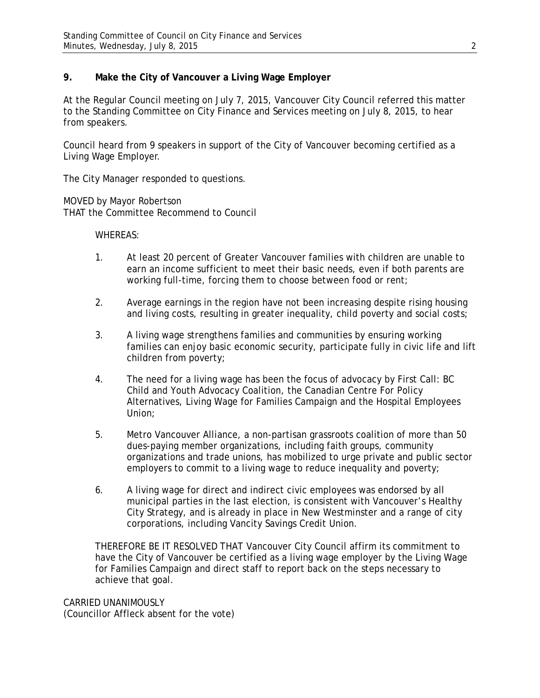# **9. Make the City of Vancouver a Living Wage Employer**

At the Regular Council meeting on July 7, 2015, Vancouver City Council referred this matter to the Standing Committee on City Finance and Services meeting on July 8, 2015, to hear from speakers.

Council heard from 9 speakers in support of the City of Vancouver becoming certified as a Living Wage Employer.

The City Manager responded to questions.

MOVED by Mayor Robertson THAT the Committee Recommend to Council

### WHEREAS:

- 1. At least 20 percent of Greater Vancouver families with children are unable to earn an income sufficient to meet their basic needs, even if both parents are working full-time, forcing them to choose between food or rent;
- 2. Average earnings in the region have not been increasing despite rising housing and living costs, resulting in greater inequality, child poverty and social costs;
- 3. A living wage strengthens families and communities by ensuring working families can enjoy basic economic security, participate fully in civic life and lift children from poverty;
- 4. The need for a living wage has been the focus of advocacy by First Call: BC Child and Youth Advocacy Coalition, the Canadian Centre For Policy Alternatives, Living Wage for Families Campaign and the Hospital Employees Union;
- 5. Metro Vancouver Alliance, a non-partisan grassroots coalition of more than 50 dues-paying member organizations, including faith groups, community organizations and trade unions, has mobilized to urge private and public sector employers to commit to a living wage to reduce inequality and poverty;
- 6. A living wage for direct and indirect civic employees was endorsed by all municipal parties in the last election, is consistent with Vancouver's Healthy City Strategy, and is already in place in New Westminster and a range of city corporations, including Vancity Savings Credit Union.

THEREFORE BE IT RESOLVED THAT Vancouver City Council affirm its commitment to have the City of Vancouver be certified as a living wage employer by the Living Wage for Families Campaign and direct staff to report back on the steps necessary to achieve that goal.

CARRIED UNANIMOUSLY (Councillor Affleck absent for the vote)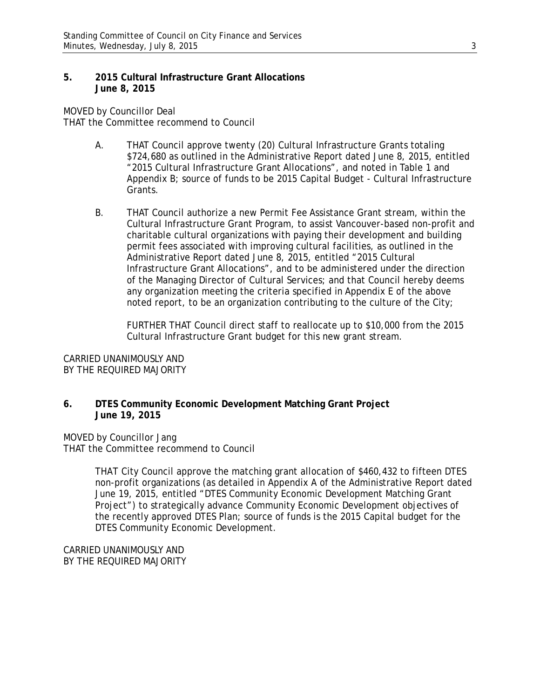### **5. 2015 Cultural Infrastructure Grant Allocations June 8, 2015**

MOVED by Councillor Deal THAT the Committee recommend to Council

- A. THAT Council approve twenty (20) Cultural Infrastructure Grants totaling \$724,680 as outlined in the Administrative Report dated June 8, 2015, entitled "2015 Cultural Infrastructure Grant Allocations", and noted in Table 1 and Appendix B; source of funds to be 2015 Capital Budget - Cultural Infrastructure Grants.
- B. THAT Council authorize a new Permit Fee Assistance Grant stream, within the Cultural Infrastructure Grant Program, to assist Vancouver-based non-profit and charitable cultural organizations with paying their development and building permit fees associated with improving cultural facilities, as outlined in the Administrative Report dated June 8, 2015, entitled "2015 Cultural Infrastructure Grant Allocations", and to be administered under the direction of the Managing Director of Cultural Services; and that Council hereby deems any organization meeting the criteria specified in Appendix E of the above noted report, to be an organization contributing to the culture of the City;

FURTHER THAT Council direct staff to reallocate up to \$10,000 from the 2015 Cultural Infrastructure Grant budget for this new grant stream.

CARRIED UNANIMOUSLY AND BY THE REQUIRED MAJORITY

**6. DTES Community Economic Development Matching Grant Project June 19, 2015**

MOVED by Councillor Jang THAT the Committee recommend to Council

> THAT City Council approve the matching grant allocation of \$460,432 to fifteen DTES non-profit organizations (as detailed in Appendix A of the Administrative Report dated June 19, 2015, entitled "DTES Community Economic Development Matching Grant Project") to strategically advance Community Economic Development objectives of the recently approved DTES Plan; source of funds is the 2015 Capital budget for the DTES Community Economic Development.

CARRIED UNANIMOUSLY AND BY THE REQUIRED MAJORITY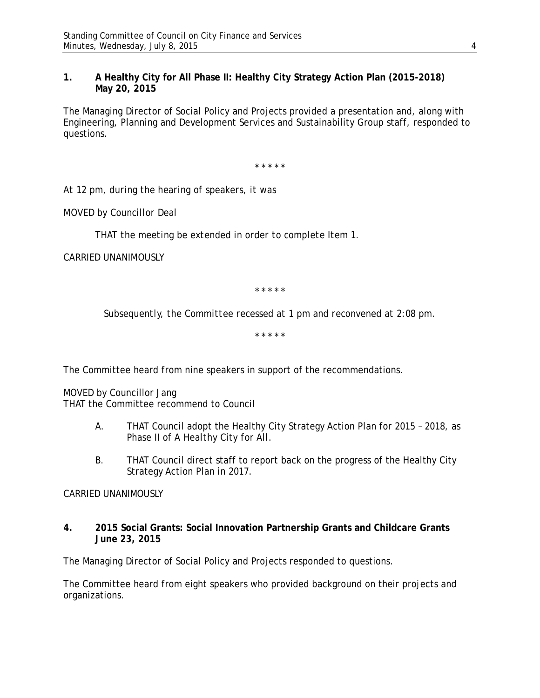## **1. A Healthy City for All Phase II: Healthy City Strategy Action Plan (2015-2018) May 20, 2015**

The Managing Director of Social Policy and Projects provided a presentation and, along with Engineering, Planning and Development Services and Sustainability Group staff, responded to questions.

\* \* \* \* \*

*At 12 pm, during the hearing of speakers, it was*

*MOVED by Councillor Deal* 

*THAT the meeting be extended in order to complete Item 1.*

*CARRIED UNANIMOUSLY*

\* \* \* \* \*

*Subsequently, the Committee recessed at 1 pm and reconvened at 2:08 pm.*

\* \* \* \* \*

The Committee heard from nine speakers in support of the recommendations.

MOVED by Councillor Jang THAT the Committee recommend to Council

- A. THAT Council adopt the Healthy City Strategy Action Plan for 2015 2018, as Phase II of *A Healthy City for All.*
- B. THAT Council direct staff to report back on the progress of the Healthy City Strategy Action Plan in 2017.

### CARRIED UNANIMOUSLY

**4. 2015 Social Grants: Social Innovation Partnership Grants and Childcare Grants June 23, 2015**

The Managing Director of Social Policy and Projects responded to questions.

The Committee heard from eight speakers who provided background on their projects and organizations.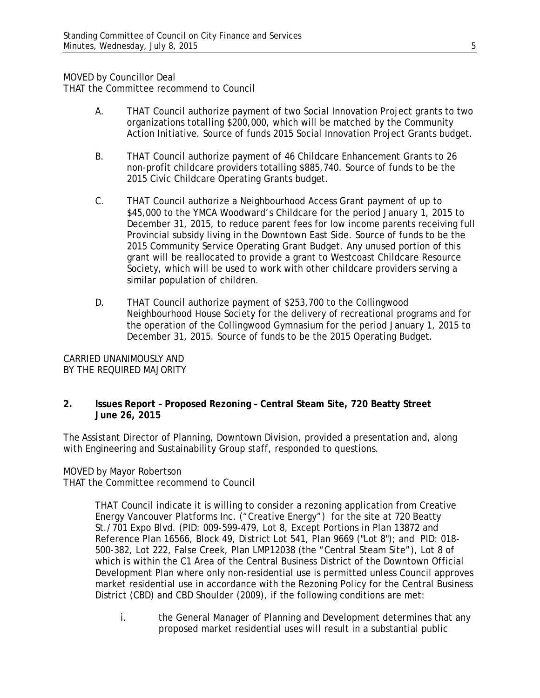## MOVED by Councillor Deal

THAT the Committee recommend to Council

- A. THAT Council authorize payment of two Social Innovation Project grants to two organizations totalling \$200,000, which will be matched by the Community Action Initiative. Source of funds 2015 Social Innovation Project Grants budget.
- B. THAT Council authorize payment of 46 Childcare Enhancement Grants to 26 non-profit childcare providers totalling \$885,740. Source of funds to be the 2015 Civic Childcare Operating Grants budget.
- C. THAT Council authorize a Neighbourhood Access Grant payment of up to \$45,000 to the YMCA Woodward's Childcare for the period January 1, 2015 to December 31, 2015, to reduce parent fees for low income parents receiving full Provincial subsidy living in the Downtown East Side. Source of funds to be the 2015 Community Service Operating Grant Budget. Any unused portion of this grant will be reallocated to provide a grant to Westcoast Childcare Resource Society, which will be used to work with other childcare providers serving a similar population of children.
- D. THAT Council authorize payment of \$253,700 to the Collingwood Neighbourhood House Society for the delivery of recreational programs and for the operation of the Collingwood Gymnasium for the period January 1, 2015 to December 31, 2015. Source of funds to be the 2015 Operating Budget.

CARRIED UNANIMOUSLY AND BY THE REQUIRED MAJORITY

**2. Issues Report – Proposed Rezoning – Central Steam Site, 720 Beatty Street June 26, 2015**

The Assistant Director of Planning, Downtown Division, provided a presentation and, along with Engineering and Sustainability Group staff, responded to questions.

MOVED by Mayor Robertson

THAT the Committee recommend to Council

THAT Council indicate it is willing to consider a rezoning application from Creative Energy Vancouver Platforms Inc. ("Creative Energy") for the site at 720 Beatty St./701 Expo Blvd. (PID: 009-599-479, Lot 8, Except Portions in Plan 13872 and Reference Plan 16566, Block 49, District Lot 541, Plan 9669 ("Lot 8"); and PID: 018- 500-382, Lot 222, False Creek, Plan LMP12038 (the "Central Steam Site"), Lot 8 of which is within the C1 Area of the Central Business District of the Downtown Official Development Plan where only non-residential use is permitted unless Council approves market residential use in accordance with the Rezoning Policy for the Central Business District (CBD) and CBD Shoulder (2009), if the following conditions are met:

i. the General Manager of Planning and Development determines that any proposed market residential uses will result in a substantial public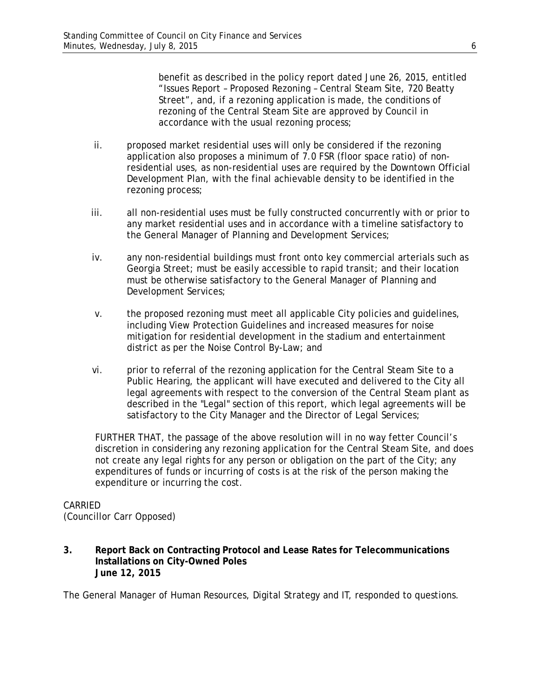benefit as described in the policy report dated June 26, 2015, entitled "Issues Report – Proposed Rezoning – Central Steam Site, 720 Beatty Street", and, if a rezoning application is made, the conditions of rezoning of the Central Steam Site are approved by Council in accordance with the usual rezoning process;

- ii. proposed market residential uses will only be considered if the rezoning application also proposes a minimum of 7.0 FSR (floor space ratio) of nonresidential uses, as non-residential uses are required by the Downtown Official Development Plan, with the final achievable density to be identified in the rezoning process;
- iii. all non-residential uses must be fully constructed concurrently with or prior to any market residential uses and in accordance with a timeline satisfactory to the General Manager of Planning and Development Services;
- iv. any non-residential buildings must front onto key commercial arterials such as Georgia Street; must be easily accessible to rapid transit; and their location must be otherwise satisfactory to the General Manager of Planning and Development Services;
- v. the proposed rezoning must meet all applicable City policies and guidelines, including View Protection Guidelines and increased measures for noise mitigation for residential development in the stadium and entertainment district as per the Noise Control By-Law; and
- vi. prior to referral of the rezoning application for the Central Steam Site to a Public Hearing, the applicant will have executed and delivered to the City all legal agreements with respect to the conversion of the Central Steam plant as described in the "Legal" section of this report, which legal agreements will be satisfactory to the City Manager and the Director of Legal Services;

FURTHER THAT, the passage of the above resolution will in no way fetter Council's discretion in considering any rezoning application for the Central Steam Site, and does not create any legal rights for any person or obligation on the part of the City; any expenditures of funds or incurring of costs is at the risk of the person making the expenditure or incurring the cost.

# CARRIED

(Councillor Carr Opposed)

**3. Report Back on Contracting Protocol and Lease Rates for Telecommunications Installations on City-Owned Poles June 12, 2015**

The General Manager of Human Resources, Digital Strategy and IT, responded to questions.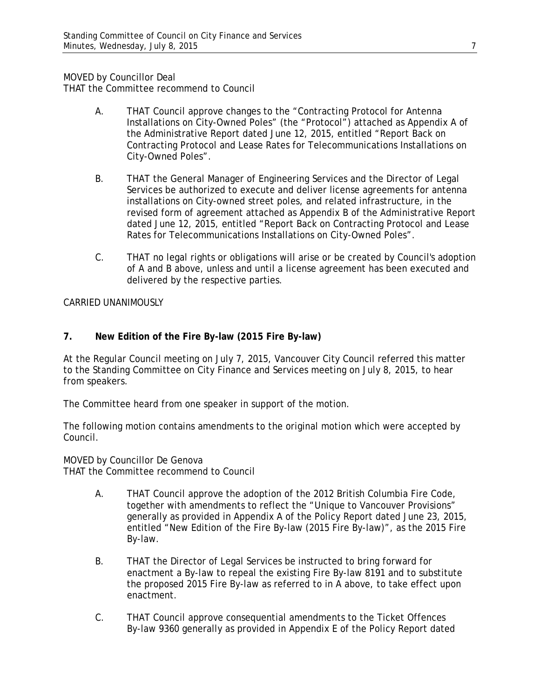MOVED by Councillor Deal

THAT the Committee recommend to Council

- A. THAT Council approve changes to the "Contracting Protocol for Antenna Installations on City-Owned Poles" (the "Protocol") attached as Appendix A of the Administrative Report dated June 12, 2015, entitled "Report Back on Contracting Protocol and Lease Rates for Telecommunications Installations on City-Owned Poles".
- B. THAT the General Manager of Engineering Services and the Director of Legal Services be authorized to execute and deliver license agreements for antenna installations on City-owned street poles, and related infrastructure, in the revised form of agreement attached as Appendix B of the Administrative Report dated June 12, 2015, entitled "Report Back on Contracting Protocol and Lease Rates for Telecommunications Installations on City-Owned Poles".
- C. THAT no legal rights or obligations will arise or be created by Council's adoption of A and B above, unless and until a license agreement has been executed and delivered by the respective parties.

CARRIED UNANIMOUSLY

# **7. New Edition of the Fire By-law (2015 Fire By-law)**

At the Regular Council meeting on July 7, 2015, Vancouver City Council referred this matter to the Standing Committee on City Finance and Services meeting on July 8, 2015, to hear from speakers.

The Committee heard from one speaker in support of the motion.

The following motion contains amendments to the original motion which were accepted by Council.

MOVED by Councillor De Genova THAT the Committee recommend to Council

- A. THAT Council approve the adoption of the 2012 British Columbia Fire Code, together with amendments to reflect the "Unique to Vancouver Provisions" generally as provided in Appendix A of the Policy Report dated June 23, 2015, entitled "New Edition of the Fire By-law (2015 Fire By-law)", as the 2015 Fire By-law.
- B. THAT the Director of Legal Services be instructed to bring forward for enactment a By-law to repeal the existing Fire By-law 8191 and to substitute the proposed 2015 Fire By-law as referred to in A above, to take effect upon enactment.
- C. THAT Council approve consequential amendments to the Ticket Offences By-law 9360 generally as provided in Appendix E of the Policy Report dated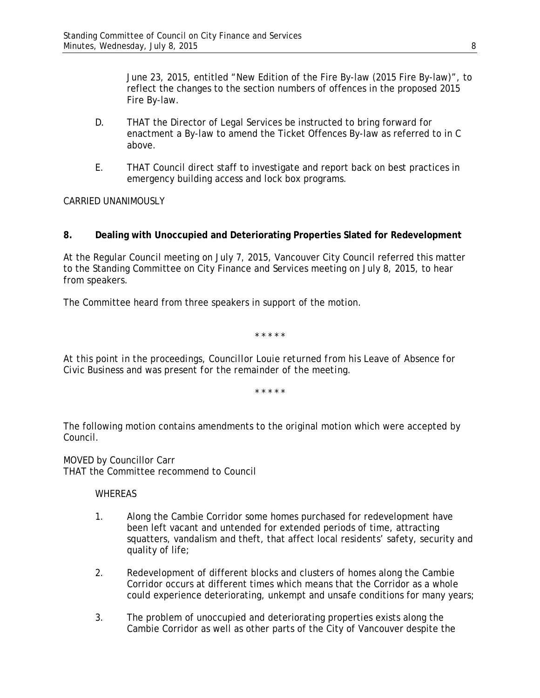June 23, 2015, entitled "New Edition of the Fire By-law (2015 Fire By-law)", to reflect the changes to the section numbers of offences in the proposed 2015 Fire By-law.

- D. THAT the Director of Legal Services be instructed to bring forward for enactment a By-law to amend the Ticket Offences By-law as referred to in C above.
- E. THAT Council direct staff to investigate and report back on best practices in emergency building access and lock box programs.

CARRIED UNANIMOUSLY

## **8. Dealing with Unoccupied and Deteriorating Properties Slated for Redevelopment**

At the Regular Council meeting on July 7, 2015, Vancouver City Council referred this matter to the Standing Committee on City Finance and Services meeting on July 8, 2015, to hear from speakers.

The Committee heard from three speakers in support of the motion.

\* \* \* \* \*

*At this point in the proceedings, Councillor Louie returned from his Leave of Absence for Civic Business and was present for the remainder of the meeting.*

\* \* \* \* \*

The following motion contains amendments to the original motion which were accepted by Council.

MOVED by Councillor Carr THAT the Committee recommend to Council

**WHEREAS** 

- 1. Along the Cambie Corridor some homes purchased for redevelopment have been left vacant and untended for extended periods of time, attracting squatters, vandalism and theft, that affect local residents' safety, security and quality of life;
- 2. Redevelopment of different blocks and clusters of homes along the Cambie Corridor occurs at different times which means that the Corridor as a whole could experience deteriorating, unkempt and unsafe conditions for many years;
- 3. The problem of unoccupied and deteriorating properties exists along the Cambie Corridor as well as other parts of the City of Vancouver despite the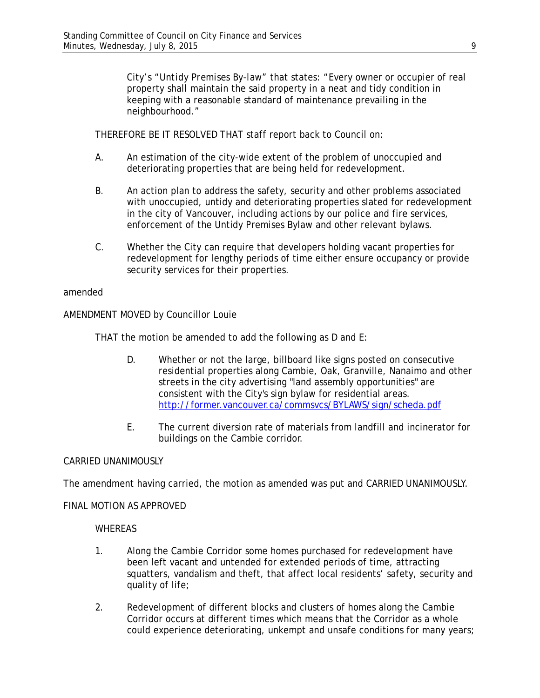City's "*Untidy Premises By-law*" that states: "Every owner or occupier of real property shall maintain the said property in a neat and tidy condition in keeping with a reasonable standard of maintenance prevailing in the neighbourhood."

THEREFORE BE IT RESOLVED THAT staff report back to Council on:

- A. An estimation of the city-wide extent of the problem of unoccupied and deteriorating properties that are being held for redevelopment.
- B. An action plan to address the safety, security and other problems associated with unoccupied, untidy and deteriorating properties slated for redevelopment in the city of Vancouver, including actions by our police and fire services, enforcement of the Untidy Premises Bylaw and other relevant bylaws.
- C. Whether the City can require that developers holding vacant properties for redevelopment for lengthy periods of time either ensure occupancy or provide security services for their properties.

### amended

AMENDMENT MOVED by Councillor Louie

THAT the motion be amended to add the following as D and E:

- D. Whether or not the large, billboard like signs posted on consecutive residential properties along Cambie, Oak, Granville, Nanaimo and other streets in the city advertising "land assembly opportunities" are consistent with the City's sign bylaw for residential areas. <http://former.vancouver.ca/commsvcs/BYLAWS/sign/scheda.pdf>
- E. The current diversion rate of materials from landfill and incinerator for buildings on the Cambie corridor.

### CARRIED UNANIMOUSLY

The amendment having carried, the motion as amended was put and CARRIED UNANIMOUSLY.

### FINAL MOTION AS APPROVED

### **WHEREAS**

- 1. Along the Cambie Corridor some homes purchased for redevelopment have been left vacant and untended for extended periods of time, attracting squatters, vandalism and theft, that affect local residents' safety, security and quality of life;
- 2. Redevelopment of different blocks and clusters of homes along the Cambie Corridor occurs at different times which means that the Corridor as a whole could experience deteriorating, unkempt and unsafe conditions for many years;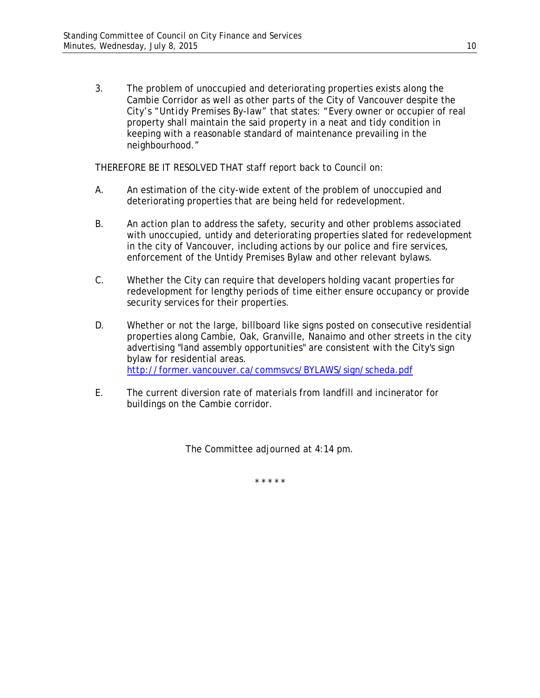3. The problem of unoccupied and deteriorating properties exists along the Cambie Corridor as well as other parts of the City of Vancouver despite the City's "*Untidy Premises By-law*" that states: "Every owner or occupier of real property shall maintain the said property in a neat and tidy condition in keeping with a reasonable standard of maintenance prevailing in the neighbourhood."

THEREFORE BE IT RESOLVED THAT staff report back to Council on:

- A. An estimation of the city-wide extent of the problem of unoccupied and deteriorating properties that are being held for redevelopment.
- B. An action plan to address the safety, security and other problems associated with unoccupied, untidy and deteriorating properties slated for redevelopment in the city of Vancouver, including actions by our police and fire services, enforcement of the Untidy Premises Bylaw and other relevant bylaws.
- C. Whether the City can require that developers holding vacant properties for redevelopment for lengthy periods of time either ensure occupancy or provide security services for their properties.
- D. Whether or not the large, billboard like signs posted on consecutive residential properties along Cambie, Oak, Granville, Nanaimo and other streets in the city advertising "land assembly opportunities" are consistent with the City's sign bylaw for residential areas. <http://former.vancouver.ca/commsvcs/BYLAWS/sign/scheda.pdf>
- E. The current diversion rate of materials from landfill and incinerator for buildings on the Cambie corridor.

The Committee adjourned at 4:14 pm.

\* \* \* \* \*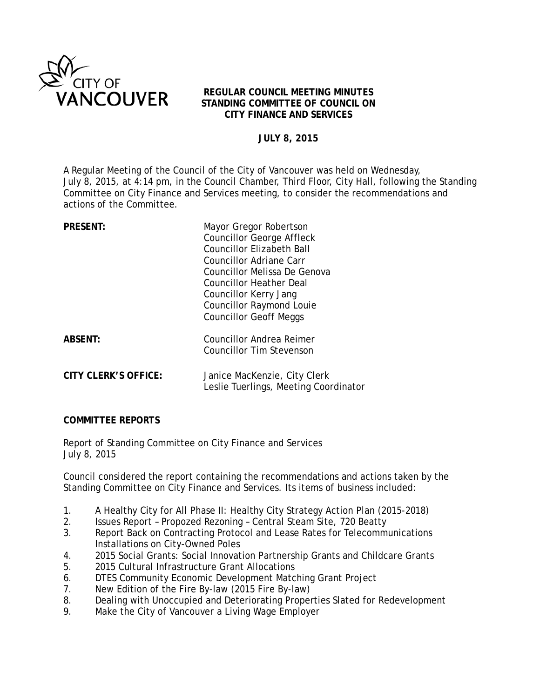

## **REGULAR COUNCIL MEETING MINUTES STANDING COMMITTEE OF COUNCIL ON CITY FINANCE AND SERVICES**

## **JULY 8, 2015**

A Regular Meeting of the Council of the City of Vancouver was held on Wednesday, July 8, 2015, at 4:14 pm, in the Council Chamber, Third Floor, City Hall, following the Standing Committee on City Finance and Services meeting, to consider the recommendations and actions of the Committee.

| <b>PRESENT:</b>      | Mayor Gregor Robertson                                                |
|----------------------|-----------------------------------------------------------------------|
|                      | <b>Councillor George Affleck</b>                                      |
|                      | <b>Councillor Elizabeth Ball</b>                                      |
|                      | Councillor Adriane Carr                                               |
|                      | Councillor Melissa De Genova                                          |
|                      | Councillor Heather Deal                                               |
|                      | Councillor Kerry Jang                                                 |
|                      | <b>Councillor Raymond Louie</b>                                       |
|                      | <b>Councillor Geoff Meggs</b>                                         |
| <b>ABSENT:</b>       | Councillor Andrea Reimer                                              |
|                      | <b>Councillor Tim Stevenson</b>                                       |
| CITY CLERK'S OFFICE: |                                                                       |
|                      | Janice MacKenzie, City Clerk<br>Leslie Tuerlings, Meeting Coordinator |
|                      |                                                                       |

## **COMMITTEE REPORTS**

Report of Standing Committee on City Finance and Services July 8, 2015

Council considered the report containing the recommendations and actions taken by the Standing Committee on City Finance and Services. Its items of business included:

- 1. A Healthy City for All Phase II: Healthy City Strategy Action Plan (2015-2018)
- 2. Issues Report Propozed Rezoning Central Steam Site, 720 Beatty
- 3. Report Back on Contracting Protocol and Lease Rates for Telecommunications Installations on City-Owned Poles
- 4. 2015 Social Grants: Social Innovation Partnership Grants and Childcare Grants
- 5. 2015 Cultural Infrastructure Grant Allocations
- 6. DTES Community Economic Development Matching Grant Project
- 7. New Edition of the Fire By-law (2015 Fire By-law)
- 8. Dealing with Unoccupied and Deteriorating Properties Slated for Redevelopment
- 9. Make the City of Vancouver a Living Wage Employer